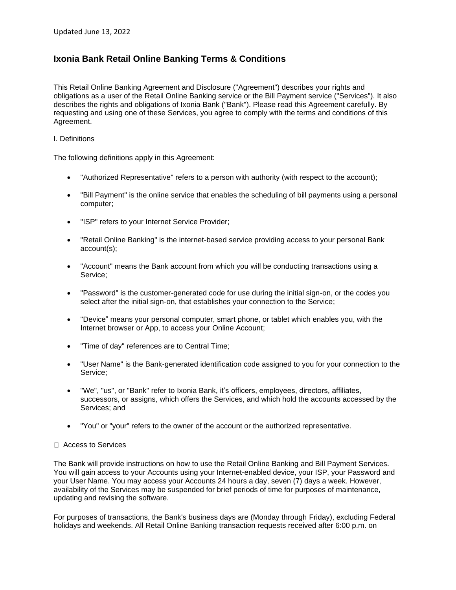# **Ixonia Bank Retail Online Banking Terms & Conditions**

This Retail Online Banking Agreement and Disclosure ("Agreement") describes your rights and obligations as a user of the Retail Online Banking service or the Bill Payment service ("Services"). It also describes the rights and obligations of Ixonia Bank ("Bank"). Please read this Agreement carefully. By requesting and using one of these Services, you agree to comply with the terms and conditions of this Agreement.

#### I. Definitions

The following definitions apply in this Agreement:

- "Authorized Representative" refers to a person with authority (with respect to the account);
- "Bill Payment" is the online service that enables the scheduling of bill payments using a personal computer;
- "ISP" refers to your Internet Service Provider;
- "Retail Online Banking" is the internet-based service providing access to your personal Bank account(s);
- "Account" means the Bank account from which you will be conducting transactions using a Service;
- "Password" is the customer-generated code for use during the initial sign-on, or the codes you select after the initial sign-on, that establishes your connection to the Service;
- "Device" means your personal computer, smart phone, or tablet which enables you, with the Internet browser or App, to access your Online Account;
- "Time of day" references are to Central Time;
- "User Name" is the Bank-generated identification code assigned to you for your connection to the Service;
- "We", "us", or "Bank" refer to Ixonia Bank, it's officers, employees, directors, affiliates, successors, or assigns, which offers the Services, and which hold the accounts accessed by the Services; and
- "You" or "your" refers to the owner of the account or the authorized representative.

# □ Access to Services

The Bank will provide instructions on how to use the Retail Online Banking and Bill Payment Services. You will gain access to your Accounts using your Internet-enabled device, your ISP, your Password and your User Name. You may access your Accounts 24 hours a day, seven (7) days a week. However, availability of the Services may be suspended for brief periods of time for purposes of maintenance, updating and revising the software.

For purposes of transactions, the Bank's business days are (Monday through Friday), excluding Federal holidays and weekends. All Retail Online Banking transaction requests received after 6:00 p.m. on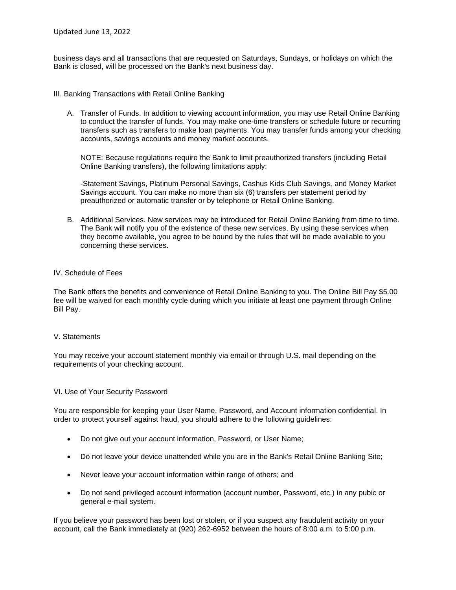business days and all transactions that are requested on Saturdays, Sundays, or holidays on which the Bank is closed, will be processed on the Bank's next business day.

- III. Banking Transactions with Retail Online Banking
	- A. Transfer of Funds. In addition to viewing account information, you may use Retail Online Banking to conduct the transfer of funds. You may make one-time transfers or schedule future or recurring transfers such as transfers to make loan payments. You may transfer funds among your checking accounts, savings accounts and money market accounts.

NOTE: Because regulations require the Bank to limit preauthorized transfers (including Retail Online Banking transfers), the following limitations apply:

-Statement Savings, Platinum Personal Savings, Cashus Kids Club Savings, and Money Market Savings account. You can make no more than six (6) transfers per statement period by preauthorized or automatic transfer or by telephone or Retail Online Banking.

B. Additional Services. New services may be introduced for Retail Online Banking from time to time. The Bank will notify you of the existence of these new services. By using these services when they become available, you agree to be bound by the rules that will be made available to you concerning these services.

## IV. Schedule of Fees

The Bank offers the benefits and convenience of Retail Online Banking to you. The Online Bill Pay \$5.00 fee will be waived for each monthly cycle during which you initiate at least one payment through Online Bill Pay.

#### V. Statements

You may receive your account statement monthly via email or through U.S. mail depending on the requirements of your checking account.

#### VI. Use of Your Security Password

You are responsible for keeping your User Name, Password, and Account information confidential. In order to protect yourself against fraud, you should adhere to the following guidelines:

- Do not give out your account information, Password, or User Name;
- Do not leave your device unattended while you are in the Bank's Retail Online Banking Site;
- Never leave your account information within range of others; and
- Do not send privileged account information (account number, Password, etc.) in any pubic or general e-mail system.

If you believe your password has been lost or stolen, or if you suspect any fraudulent activity on your account, call the Bank immediately at (920) 262-6952 between the hours of 8:00 a.m. to 5:00 p.m.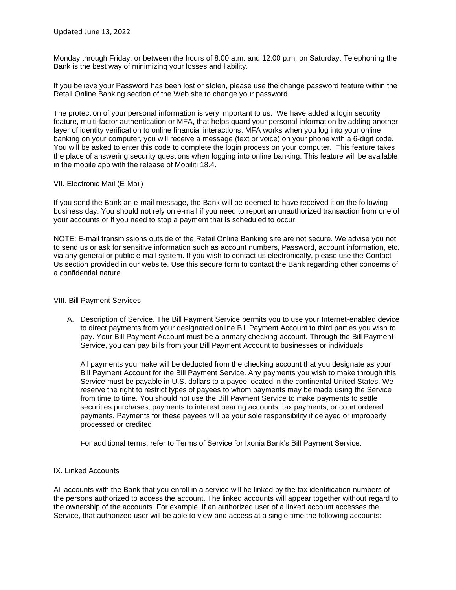Monday through Friday, or between the hours of 8:00 a.m. and 12:00 p.m. on Saturday. Telephoning the Bank is the best way of minimizing your losses and liability.

If you believe your Password has been lost or stolen, please use the change password feature within the Retail Online Banking section of the Web site to change your password.

The protection of your personal information is very important to us. We have added a login security feature, multi-factor authentication or MFA, that helps guard your personal information by adding another layer of identity verification to online financial interactions. MFA works when you log into your online banking on your computer, you will receive a message (text or voice) on your phone with a 6-digit code. You will be asked to enter this code to complete the login process on your computer. This feature takes the place of answering security questions when logging into online banking. This feature will be available in the mobile app with the release of Mobiliti 18.4.

#### VII. Electronic Mail (E-Mail)

If you send the Bank an e-mail message, the Bank will be deemed to have received it on the following business day. You should not rely on e-mail if you need to report an unauthorized transaction from one of your accounts or if you need to stop a payment that is scheduled to occur.

NOTE: E-mail transmissions outside of the Retail Online Banking site are not secure. We advise you not to send us or ask for sensitive information such as account numbers, Password, account information, etc. via any general or public e-mail system. If you wish to contact us electronically, please use the Contact Us section provided in our website. Use this secure form to contact the Bank regarding other concerns of a confidential nature.

#### VIII. Bill Payment Services

A. Description of Service. The Bill Payment Service permits you to use your Internet-enabled device to direct payments from your designated online Bill Payment Account to third parties you wish to pay. Your Bill Payment Account must be a primary checking account. Through the Bill Payment Service, you can pay bills from your Bill Payment Account to businesses or individuals.

All payments you make will be deducted from the checking account that you designate as your Bill Payment Account for the Bill Payment Service. Any payments you wish to make through this Service must be payable in U.S. dollars to a payee located in the continental United States. We reserve the right to restrict types of payees to whom payments may be made using the Service from time to time. You should not use the Bill Payment Service to make payments to settle securities purchases, payments to interest bearing accounts, tax payments, or court ordered payments. Payments for these payees will be your sole responsibility if delayed or improperly processed or credited.

For additional terms, refer to Terms of Service for Ixonia Bank's Bill Payment Service.

#### IX. Linked Accounts

All accounts with the Bank that you enroll in a service will be linked by the tax identification numbers of the persons authorized to access the account. The linked accounts will appear together without regard to the ownership of the accounts. For example, if an authorized user of a linked account accesses the Service, that authorized user will be able to view and access at a single time the following accounts: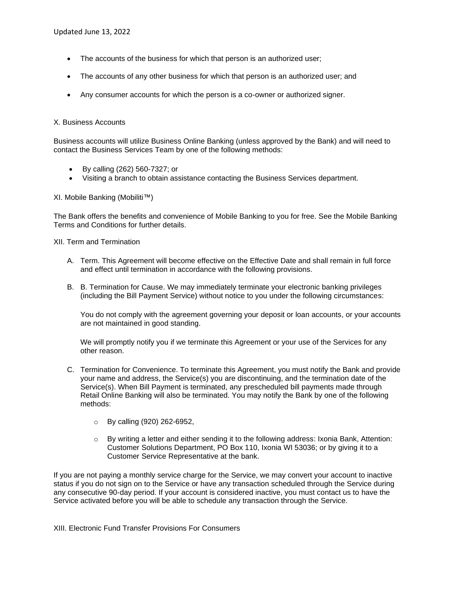- The accounts of the business for which that person is an authorized user;
- The accounts of any other business for which that person is an authorized user; and
- Any consumer accounts for which the person is a co-owner or authorized signer.

## X. Business Accounts

Business accounts will utilize Business Online Banking (unless approved by the Bank) and will need to contact the Business Services Team by one of the following methods:

- By calling (262) 560-7327; or
- Visiting a branch to obtain assistance contacting the Business Services department.

XI. Mobile Banking (Mobiliti™)

The Bank offers the benefits and convenience of Mobile Banking to you for free. See the Mobile Banking Terms and Conditions for further details.

XII. Term and Termination

- A. Term. This Agreement will become effective on the Effective Date and shall remain in full force and effect until termination in accordance with the following provisions.
- B. B. Termination for Cause. We may immediately terminate your electronic banking privileges (including the Bill Payment Service) without notice to you under the following circumstances:

You do not comply with the agreement governing your deposit or loan accounts, or your accounts are not maintained in good standing.

We will promptly notify you if we terminate this Agreement or your use of the Services for any other reason.

- C. Termination for Convenience. To terminate this Agreement, you must notify the Bank and provide your name and address, the Service(s) you are discontinuing, and the termination date of the Service(s). When Bill Payment is terminated, any prescheduled bill payments made through Retail Online Banking will also be terminated. You may notify the Bank by one of the following methods:
	- o By calling (920) 262-6952,
	- $\circ$  By writing a letter and either sending it to the following address: Ixonia Bank, Attention: Customer Solutions Department, PO Box 110, Ixonia WI 53036; or by giving it to a Customer Service Representative at the bank.

If you are not paying a monthly service charge for the Service, we may convert your account to inactive status if you do not sign on to the Service or have any transaction scheduled through the Service during any consecutive 90-day period. If your account is considered inactive, you must contact us to have the Service activated before you will be able to schedule any transaction through the Service.

XIII. Electronic Fund Transfer Provisions For Consumers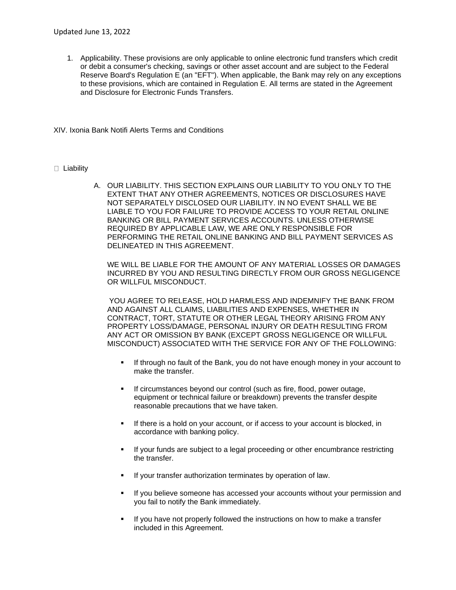1. Applicability. These provisions are only applicable to online electronic fund transfers which credit or debit a consumer's checking, savings or other asset account and are subject to the Federal Reserve Board's Regulation E (an "EFT"). When applicable, the Bank may rely on any exceptions to these provisions, which are contained in Regulation E. All terms are stated in the Agreement and Disclosure for Electronic Funds Transfers.

XIV. Ixonia Bank Notifi Alerts Terms and Conditions

## **Liability**

A. OUR LIABILITY. THIS SECTION EXPLAINS OUR LIABILITY TO YOU ONLY TO THE EXTENT THAT ANY OTHER AGREEMENTS, NOTICES OR DISCLOSURES HAVE NOT SEPARATELY DISCLOSED OUR LIABILITY. IN NO EVENT SHALL WE BE LIABLE TO YOU FOR FAILURE TO PROVIDE ACCESS TO YOUR RETAIL ONLINE BANKING OR BILL PAYMENT SERVICES ACCOUNTS. UNLESS OTHERWISE REQUIRED BY APPLICABLE LAW, WE ARE ONLY RESPONSIBLE FOR PERFORMING THE RETAIL ONLINE BANKING AND BILL PAYMENT SERVICES AS DELINEATED IN THIS AGREEMENT.

WE WILL BE LIABLE FOR THE AMOUNT OF ANY MATERIAL LOSSES OR DAMAGES INCURRED BY YOU AND RESULTING DIRECTLY FROM OUR GROSS NEGLIGENCE OR WILLFUL MISCONDUCT.

YOU AGREE TO RELEASE, HOLD HARMLESS AND INDEMNIFY THE BANK FROM AND AGAINST ALL CLAIMS, LIABILITIES AND EXPENSES, WHETHER IN CONTRACT, TORT, STATUTE OR OTHER LEGAL THEORY ARISING FROM ANY PROPERTY LOSS/DAMAGE, PERSONAL INJURY OR DEATH RESULTING FROM ANY ACT OR OMISSION BY BANK (EXCEPT GROSS NEGLIGENCE OR WILLFUL MISCONDUCT) ASSOCIATED WITH THE SERVICE FOR ANY OF THE FOLLOWING:

- If through no fault of the Bank, you do not have enough money in your account to make the transfer.
- If circumstances beyond our control (such as fire, flood, power outage, equipment or technical failure or breakdown) prevents the transfer despite reasonable precautions that we have taken.
- If there is a hold on your account, or if access to your account is blocked, in accordance with banking policy.
- If your funds are subject to a legal proceeding or other encumbrance restricting the transfer.
- If your transfer authorization terminates by operation of law.
- If you believe someone has accessed your accounts without your permission and you fail to notify the Bank immediately.
- If you have not properly followed the instructions on how to make a transfer included in this Agreement.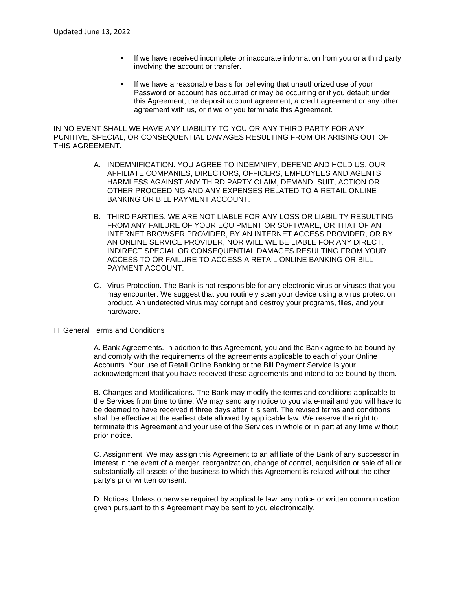- If we have received incomplete or inaccurate information from you or a third party involving the account or transfer.
- If we have a reasonable basis for believing that unauthorized use of your Password or account has occurred or may be occurring or if you default under this Agreement, the deposit account agreement, a credit agreement or any other agreement with us, or if we or you terminate this Agreement.

IN NO EVENT SHALL WE HAVE ANY LIABILITY TO YOU OR ANY THIRD PARTY FOR ANY PUNITIVE, SPECIAL, OR CONSEQUENTIAL DAMAGES RESULTING FROM OR ARISING OUT OF THIS AGREEMENT.

- A. INDEMNIFICATION. YOU AGREE TO INDEMNIFY, DEFEND AND HOLD US, OUR AFFILIATE COMPANIES, DIRECTORS, OFFICERS, EMPLOYEES AND AGENTS HARMLESS AGAINST ANY THIRD PARTY CLAIM, DEMAND, SUIT, ACTION OR OTHER PROCEEDING AND ANY EXPENSES RELATED TO A RETAIL ONLINE BANKING OR BILL PAYMENT ACCOUNT.
- B. THIRD PARTIES. WE ARE NOT LIABLE FOR ANY LOSS OR LIABILITY RESULTING FROM ANY FAILURE OF YOUR EQUIPMENT OR SOFTWARE, OR THAT OF AN INTERNET BROWSER PROVIDER, BY AN INTERNET ACCESS PROVIDER, OR BY AN ONLINE SERVICE PROVIDER, NOR WILL WE BE LIABLE FOR ANY DIRECT, INDIRECT SPECIAL OR CONSEQUENTIAL DAMAGES RESULTING FROM YOUR ACCESS TO OR FAILURE TO ACCESS A RETAIL ONLINE BANKING OR BILL PAYMENT ACCOUNT.
- C. Virus Protection. The Bank is not responsible for any electronic virus or viruses that you may encounter. We suggest that you routinely scan your device using a virus protection product. An undetected virus may corrupt and destroy your programs, files, and your hardware.
- □ General Terms and Conditions

A. Bank Agreements. In addition to this Agreement, you and the Bank agree to be bound by and comply with the requirements of the agreements applicable to each of your Online Accounts. Your use of Retail Online Banking or the Bill Payment Service is your acknowledgment that you have received these agreements and intend to be bound by them.

B. Changes and Modifications. The Bank may modify the terms and conditions applicable to the Services from time to time. We may send any notice to you via e-mail and you will have to be deemed to have received it three days after it is sent. The revised terms and conditions shall be effective at the earliest date allowed by applicable law. We reserve the right to terminate this Agreement and your use of the Services in whole or in part at any time without prior notice.

C. Assignment. We may assign this Agreement to an affiliate of the Bank of any successor in interest in the event of a merger, reorganization, change of control, acquisition or sale of all or substantially all assets of the business to which this Agreement is related without the other party's prior written consent.

D. Notices. Unless otherwise required by applicable law, any notice or written communication given pursuant to this Agreement may be sent to you electronically.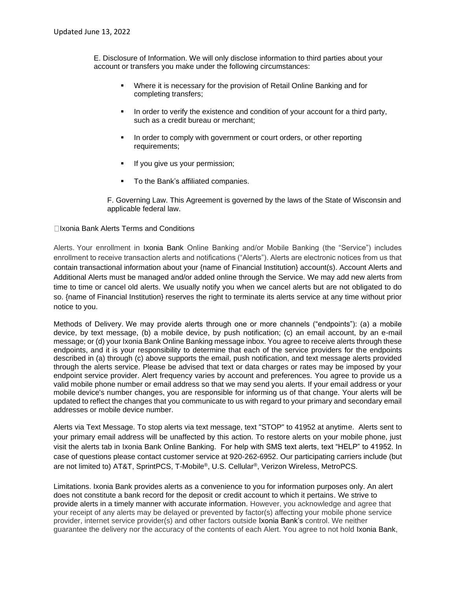E. Disclosure of Information. We will only disclose information to third parties about your account or transfers you make under the following circumstances:

- Where it is necessary for the provision of Retail Online Banking and for completing transfers;
- In order to verify the existence and condition of your account for a third party, such as a credit bureau or merchant;
- In order to comply with government or court orders, or other reporting requirements;
- If you give us your permission;
- To the Bank's affiliated companies.

F. Governing Law. This Agreement is governed by the laws of the State of Wisconsin and applicable federal law.

#### Ixonia Bank Alerts Terms and Conditions

Alerts. Your enrollment in Ixonia Bank Online Banking and/or Mobile Banking (the "Service") includes enrollment to receive transaction alerts and notifications ("Alerts"). Alerts are electronic notices from us that contain transactional information about your {name of Financial Institution} account(s). Account Alerts and Additional Alerts must be managed and/or added online through the Service. We may add new alerts from time to time or cancel old alerts. We usually notify you when we cancel alerts but are not obligated to do so. {name of Financial Institution} reserves the right to terminate its alerts service at any time without prior notice to you.

Methods of Delivery. We may provide alerts through one or more channels ("endpoints"): (a) a mobile device, by text message, (b) a mobile device, by push notification; (c) an email account, by an e-mail message; or (d) your Ixonia Bank Online Banking message inbox. You agree to receive alerts through these endpoints, and it is your responsibility to determine that each of the service providers for the endpoints described in (a) through (c) above supports the email, push notification, and text message alerts provided through the alerts service. Please be advised that text or data charges or rates may be imposed by your endpoint service provider. Alert frequency varies by account and preferences. You agree to provide us a valid mobile phone number or email address so that we may send you alerts. If your email address or your mobile device's number changes, you are responsible for informing us of that change. Your alerts will be updated to reflect the changes that you communicate to us with regard to your primary and secondary email addresses or mobile device number.

Alerts via Text Message. To stop alerts via text message, text "STOP" to 41952 at anytime. Alerts sent to your primary email address will be unaffected by this action. To restore alerts on your mobile phone, just visit the alerts tab in Ixonia Bank Online Banking. For help with SMS text alerts, text "HELP" to 41952. In case of questions please contact customer service at 920-262-6952. Our participating carriers include (but are not limited to) AT&T, SprintPCS, T-Mobile®, U.S. Cellular®, Verizon Wireless, MetroPCS.

Limitations. Ixonia Bank provides alerts as a convenience to you for information purposes only. An alert does not constitute a bank record for the deposit or credit account to which it pertains. We strive to provide alerts in a timely manner with accurate information. However, you acknowledge and agree that your receipt of any alerts may be delayed or prevented by factor(s) affecting your mobile phone service provider, internet service provider(s) and other factors outside Ixonia Bank's control. We neither guarantee the delivery nor the accuracy of the contents of each Alert. You agree to not hold Ixonia Bank,